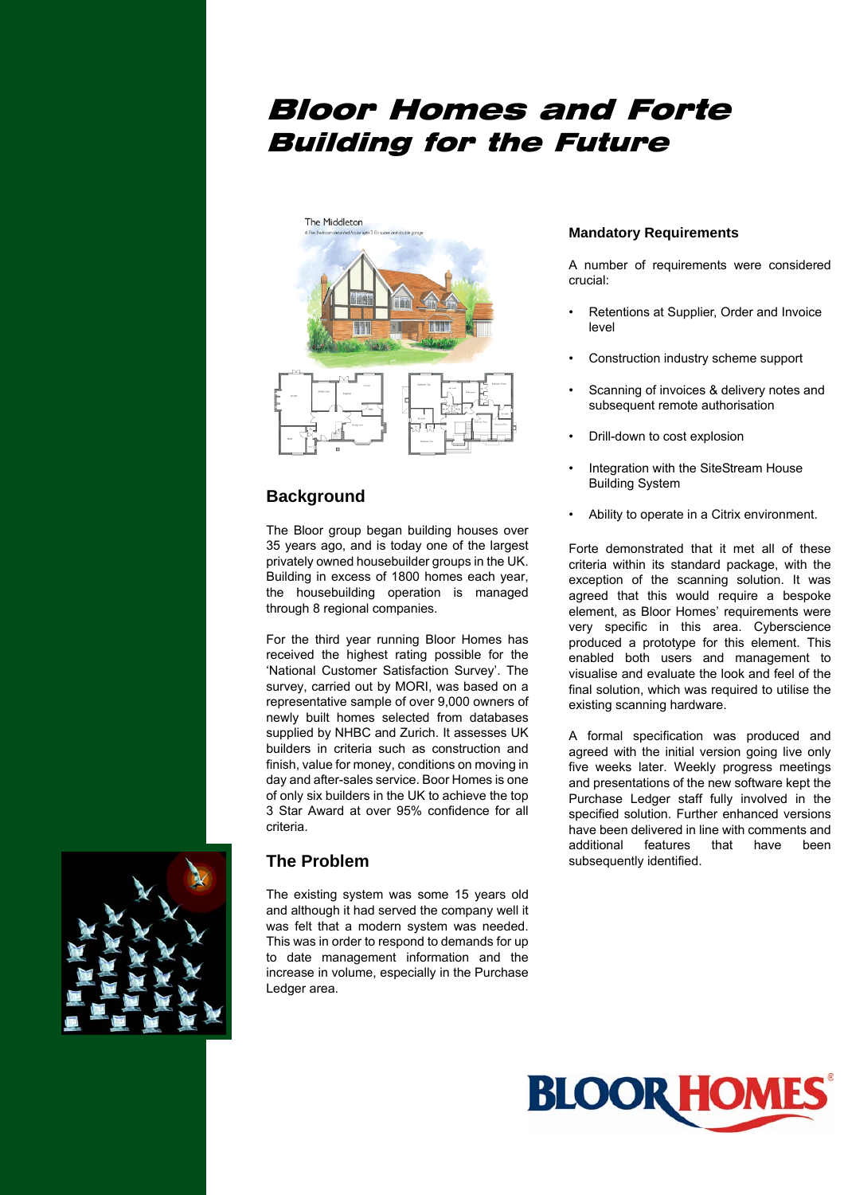# Bloor Homes and Forte Building for the Future



## **Background**

The Bloor group began building houses over 35 years ago, and is today one of the largest privately owned housebuilder groups in the UK. Building in excess of 1800 homes each year, the housebuilding operation is managed through 8 regional companies.

For the third year running Bloor Homes has received the highest rating possible for the 'National Customer Satisfaction Survey'. The survey, carried out by MORI, was based on a representative sample of over 9,000 owners of newly built homes selected from databases supplied by NHBC and Zurich. It assesses UK builders in criteria such as construction and finish, value for money, conditions on moving in day and after-sales service. Boor Homes is one of only six builders in the UK to achieve the top 3 Star Award at over 95% confidence for all criteria.

## **The Problem**

The existing system was some 15 years old and although it had served the company well it was felt that a modern system was needed. This was in order to respond to demands for up to date management information and the increase in volume, especially in the Purchase Ledger area.

## **Mandatory Requirements**

A number of requirements were considered crucial:

- Retentions at Supplier, Order and Invoice level
- Construction industry scheme support
- Scanning of invoices & delivery notes and subsequent remote authorisation
- Drill-down to cost explosion
- Integration with the SiteStream House Building System
- Ability to operate in a Citrix environment.

Forte demonstrated that it met all of these criteria within its standard package, with the exception of the scanning solution. It was agreed that this would require a bespoke element, as Bloor Homes' requirements were very specific in this area. Cyberscience produced a prototype for this element. This enabled both users and management to visualise and evaluate the look and feel of the final solution, which was required to utilise the existing scanning hardware.

A formal specification was produced and agreed with the initial version going live only five weeks later. Weekly progress meetings and presentations of the new software kept the Purchase Ledger staff fully involved in the specified solution. Further enhanced versions have been delivered in line with comments and additional features that have been subsequently identified.